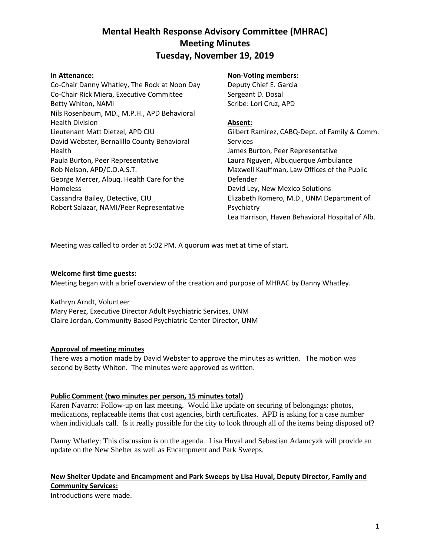## **Mental Health Response Advisory Committee (MHRAC) Meeting Minutes Tuesday, November 19, 2019**

#### **In Attenance:**

Co-Chair Danny Whatley, The Rock at Noon Day Co-Chair Rick Miera, Executive Committee Betty Whiton, NAMI Nils Rosenbaum, MD., M.P.H., APD Behavioral Health Division Lieutenant Matt Dietzel, APD CIU David Webster, Bernalillo County Behavioral Health Paula Burton, Peer Representative Rob Nelson, APD/C.O.A.S.T. George Mercer, Albuq. Health Care for the Homeless Cassandra Bailey, Detective, CIU Robert Salazar, NAMI/Peer Representative

#### **Non-Voting members:**

Deputy Chief E. Garcia Sergeant D. Dosal Scribe: Lori Cruz, APD

#### **Absent:**

Gilbert Ramirez, CABQ-Dept. of Family & Comm. Services James Burton, Peer Representative Laura Nguyen, Albuquerque Ambulance Maxwell Kauffman, Law Offices of the Public Defender David Ley, New Mexico Solutions Elizabeth Romero, M.D., UNM Department of Psychiatry Lea Harrison, Haven Behavioral Hospital of Alb.

Meeting was called to order at 5:02 PM. A quorum was met at time of start.

#### **Welcome first time guests:**

Meeting began with a brief overview of the creation and purpose of MHRAC by Danny Whatley.

Kathryn Arndt, Volunteer Mary Perez, Executive Director Adult Psychiatric Services, UNM Claire Jordan, Community Based Psychiatric Center Director, UNM

#### **Approval of meeting minutes**

There was a motion made by David Webster to approve the minutes as written. The motion was second by Betty Whiton. The minutes were approved as written.

#### **Public Comment (two minutes per person, 15 minutes total)**

Karen Navarro: Follow-up on last meeting. Would like update on securing of belongings: photos, medications, replaceable items that cost agencies, birth certificates. APD is asking for a case number when individuals call. Is it really possible for the city to look through all of the items being disposed of?

Danny Whatley: This discussion is on the agenda. Lisa Huval and Sebastian Adamcyzk will provide an update on the New Shelter as well as Encampment and Park Sweeps.

### **New Shelter Update and Encampment and Park Sweeps by Lisa Huval, Deputy Director, Family and Community Services:**

Introductions were made.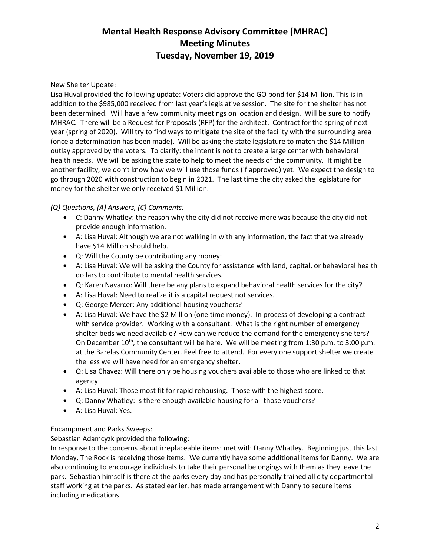# **Mental Health Response Advisory Committee (MHRAC) Meeting Minutes Tuesday, November 19, 2019**

#### New Shelter Update:

Lisa Huval provided the following update: Voters did approve the GO bond for \$14 Million. This is in addition to the \$985,000 received from last year's legislative session. The site for the shelter has not been determined. Will have a few community meetings on location and design. Will be sure to notify MHRAC. There will be a Request for Proposals (RFP) for the architect. Contract for the spring of next year (spring of 2020). Will try to find ways to mitigate the site of the facility with the surrounding area (once a determination has been made). Will be asking the state legislature to match the \$14 Million outlay approved by the voters. To clarify: the intent is not to create a large center with behavioral health needs. We will be asking the state to help to meet the needs of the community. It might be another facility, we don't know how we will use those funds (if approved) yet. We expect the design to go through 2020 with construction to begin in 2021. The last time the city asked the legislature for money for the shelter we only received \$1 Million.

#### *(Q) Questions, (A) Answers, (C) Comments:*

- C: Danny Whatley: the reason why the city did not receive more was because the city did not provide enough information.
- A: Lisa Huval: Although we are not walking in with any information, the fact that we already have \$14 Million should help.
- Q: Will the County be contributing any money:
- A: Lisa Huval: We will be asking the County for assistance with land, capital, or behavioral health dollars to contribute to mental health services.
- Q: Karen Navarro: Will there be any plans to expand behavioral health services for the city?
- A: Lisa Huval: Need to realize it is a capital request not services.
- Q: George Mercer: Any additional housing vouchers?
- A: Lisa Huval: We have the \$2 Million (one time money). In process of developing a contract with service provider. Working with a consultant. What is the right number of emergency shelter beds we need available? How can we reduce the demand for the emergency shelters? On December  $10^{th}$ , the consultant will be here. We will be meeting from 1:30 p.m. to 3:00 p.m. at the Barelas Community Center. Feel free to attend. For every one support shelter we create the less we will have need for an emergency shelter.
- Q: Lisa Chavez: Will there only be housing vouchers available to those who are linked to that agency:
- A: Lisa Huval: Those most fit for rapid rehousing. Those with the highest score.
- Q: Danny Whatley: Is there enough available housing for all those vouchers?
- A: Lisa Huval: Yes.

#### Encampment and Parks Sweeps:

Sebastian Adamcyzk provided the following:

In response to the concerns about irreplaceable items: met with Danny Whatley. Beginning just this last Monday, The Rock is receiving those items. We currently have some additional items for Danny. We are also continuing to encourage individuals to take their personal belongings with them as they leave the park. Sebastian himself is there at the parks every day and has personally trained all city departmental staff working at the parks. As stated earlier, has made arrangement with Danny to secure items including medications.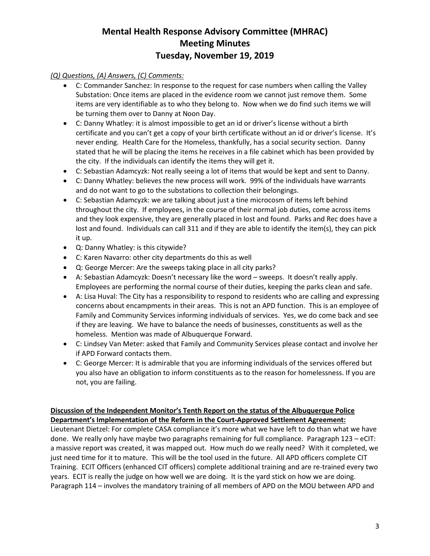# **Mental Health Response Advisory Committee (MHRAC) Meeting Minutes Tuesday, November 19, 2019**

### *(Q) Questions, (A) Answers, (C) Comments:*

- C: Commander Sanchez: In response to the request for case numbers when calling the Valley Substation: Once items are placed in the evidence room we cannot just remove them. Some items are very identifiable as to who they belong to. Now when we do find such items we will be turning them over to Danny at Noon Day.
- C: Danny Whatley: it is almost impossible to get an id or driver's license without a birth certificate and you can't get a copy of your birth certificate without an id or driver's license. It's never ending. Health Care for the Homeless, thankfully, has a social security section. Danny stated that he will be placing the items he receives in a file cabinet which has been provided by the city. If the individuals can identify the items they will get it.
- C: Sebastian Adamcyzk: Not really seeing a lot of items that would be kept and sent to Danny.
- C: Danny Whatley: believes the new process will work. 99% of the individuals have warrants and do not want to go to the substations to collection their belongings.
- C: Sebastian Adamcyzk: we are talking about just a tine microcosm of items left behind throughout the city. If employees, in the course of their normal job duties, come across items and they look expensive, they are generally placed in lost and found. Parks and Rec does have a lost and found. Individuals can call 311 and if they are able to identify the item(s), they can pick it up.
- Q: Danny Whatley: is this citywide?
- C: Karen Navarro: other city departments do this as well
- Q: George Mercer: Are the sweeps taking place in all city parks?
- A: Sebastian Adamcyzk: Doesn't necessary like the word sweeps. It doesn't really apply. Employees are performing the normal course of their duties, keeping the parks clean and safe.
- A: Lisa Huval: The City has a responsibility to respond to residents who are calling and expressing concerns about encampments in their areas. This is not an APD function. This is an employee of Family and Community Services informing individuals of services. Yes, we do come back and see if they are leaving. We have to balance the needs of businesses, constituents as well as the homeless. Mention was made of Albuquerque Forward.
- C: Lindsey Van Meter: asked that Family and Community Services please contact and involve her if APD Forward contacts them.
- C: George Mercer: It is admirable that you are informing individuals of the services offered but you also have an obligation to inform constituents as to the reason for homelessness. If you are not, you are failing.

### **Discussion of the Independent Monitor's Tenth Report on the status of the Albuquerque Police Department's Implementation of the Reform in the Court-Approved Settlement Agreement:**

Lieutenant Dietzel: For complete CASA compliance it's more what we have left to do than what we have done. We really only have maybe two paragraphs remaining for full compliance. Paragraph  $123 - eC$ IT: a massive report was created, it was mapped out. How much do we really need? With it completed, we just need time for it to mature. This will be the tool used in the future. All APD officers complete CIT Training. ECIT Officers (enhanced CIT officers) complete additional training and are re-trained every two years. ECIT is really the judge on how well we are doing. It is the yard stick on how we are doing. Paragraph 114 – involves the mandatory training of all members of APD on the MOU between APD and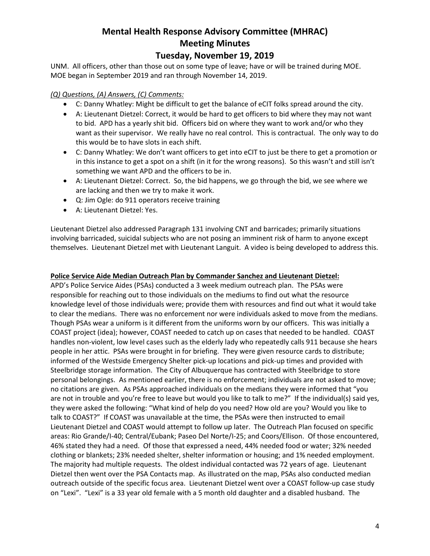# **Mental Health Response Advisory Committee (MHRAC) Meeting Minutes**

## **Tuesday, November 19, 2019**

UNM. All officers, other than those out on some type of leave; have or will be trained during MOE. MOE began in September 2019 and ran through November 14, 2019.

### *(Q) Questions, (A) Answers, (C) Comments:*

- C: Danny Whatley: Might be difficult to get the balance of eCIT folks spread around the city.
- A: Lieutenant Dietzel: Correct, it would be hard to get officers to bid where they may not want to bid. APD has a yearly shit bid. Officers bid on where they want to work and/or who they want as their supervisor. We really have no real control. This is contractual. The only way to do this would be to have slots in each shift.
- C: Danny Whatley: We don't want officers to get into eCIT to just be there to get a promotion or in this instance to get a spot on a shift (in it for the wrong reasons). So this wasn't and still isn't something we want APD and the officers to be in.
- A: Lieutenant Dietzel: Correct. So, the bid happens, we go through the bid, we see where we are lacking and then we try to make it work.
- Q: Jim Ogle: do 911 operators receive training
- A: Lieutenant Dietzel: Yes.

Lieutenant Dietzel also addressed Paragraph 131 involving CNT and barricades; primarily situations involving barricaded, suicidal subjects who are not posing an imminent risk of harm to anyone except themselves. Lieutenant Dietzel met with Lieutenant Languit. A video is being developed to address this.

#### **Police Service Aide Median Outreach Plan by Commander Sanchez and Lieutenant Dietzel:**

APD's Police Service Aides (PSAs) conducted a 3 week medium outreach plan. The PSAs were responsible for reaching out to those individuals on the mediums to find out what the resource knowledge level of those individuals were; provide them with resources and find out what it would take to clear the medians. There was no enforcement nor were individuals asked to move from the medians. Though PSAs wear a uniform is it different from the uniforms worn by our officers. This was initially a COAST project (idea); however, COAST needed to catch up on cases that needed to be handled. COAST handles non-violent, low level cases such as the elderly lady who repeatedly calls 911 because she hears people in her attic. PSAs were brought in for briefing. They were given resource cards to distribute; informed of the Westside Emergency Shelter pick-up locations and pick-up times and provided with Steelbridge storage information. The City of Albuquerque has contracted with Steelbridge to store personal belongings. As mentioned earlier, there is no enforcement; individuals are not asked to move; no citations are given. As PSAs approached individuals on the medians they were informed that "you are not in trouble and you're free to leave but would you like to talk to me?" If the individual(s) said yes, they were asked the following: "What kind of help do you need? How old are you? Would you like to talk to COAST?" If COAST was unavailable at the time, the PSAs were then instructed to email Lieutenant Dietzel and COAST would attempt to follow up later. The Outreach Plan focused on specific areas: Rio Grande/I-40; Central/Eubank; Paseo Del Norte/I-25; and Coors/Ellison. Of those encountered, 46% stated they had a need. Of those that expressed a need, 44% needed food or water; 32% needed clothing or blankets; 23% needed shelter, shelter information or housing; and 1% needed employment. The majority had multiple requests. The oldest individual contacted was 72 years of age. Lieutenant Dietzel then went over the PSA Contacts map. As illustrated on the map, PSAs also conducted median outreach outside of the specific focus area. Lieutenant Dietzel went over a COAST follow-up case study on "Lexi". "Lexi" is a 33 year old female with a 5 month old daughter and a disabled husband. The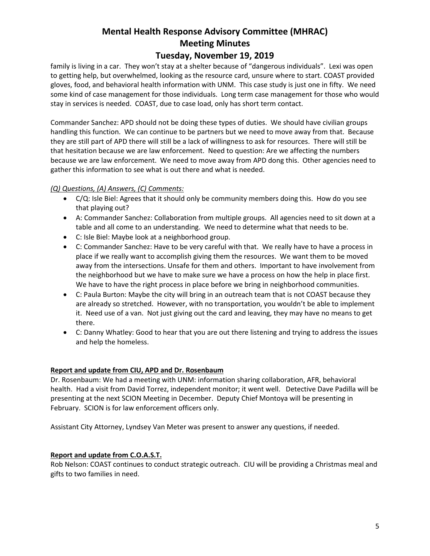# **Mental Health Response Advisory Committee (MHRAC) Meeting Minutes**

## **Tuesday, November 19, 2019**

family is living in a car. They won't stay at a shelter because of "dangerous individuals". Lexi was open to getting help, but overwhelmed, looking as the resource card, unsure where to start. COAST provided gloves, food, and behavioral health information with UNM. This case study is just one in fifty. We need some kind of case management for those individuals. Long term case management for those who would stay in services is needed. COAST, due to case load, only has short term contact.

Commander Sanchez: APD should not be doing these types of duties. We should have civilian groups handling this function. We can continue to be partners but we need to move away from that. Because they are still part of APD there will still be a lack of willingness to ask for resources. There will still be that hesitation because we are law enforcement. Need to question: Are we affecting the numbers because we are law enforcement. We need to move away from APD dong this. Other agencies need to gather this information to see what is out there and what is needed.

#### *(Q) Questions, (A) Answers, (C) Comments:*

- C/Q: Isle Biel: Agrees that it should only be community members doing this. How do you see that playing out?
- A: Commander Sanchez: Collaboration from multiple groups. All agencies need to sit down at a table and all come to an understanding. We need to determine what that needs to be.
- C: Isle Biel: Maybe look at a neighborhood group.
- C: Commander Sanchez: Have to be very careful with that. We really have to have a process in place if we really want to accomplish giving them the resources. We want them to be moved away from the intersections. Unsafe for them and others. Important to have involvement from the neighborhood but we have to make sure we have a process on how the help in place first. We have to have the right process in place before we bring in neighborhood communities.
- C: Paula Burton: Maybe the city will bring in an outreach team that is not COAST because they are already so stretched. However, with no transportation, you wouldn't be able to implement it. Need use of a van. Not just giving out the card and leaving, they may have no means to get there.
- C: Danny Whatley: Good to hear that you are out there listening and trying to address the issues and help the homeless.

#### **Report and update from CIU, APD and Dr. Rosenbaum**

Dr. Rosenbaum: We had a meeting with UNM: information sharing collaboration, AFR, behavioral health. Had a visit from David Torrez, independent monitor; it went well. Detective Dave Padilla will be presenting at the next SCION Meeting in December. Deputy Chief Montoya will be presenting in February. SCION is for law enforcement officers only.

Assistant City Attorney, Lyndsey Van Meter was present to answer any questions, if needed.

#### **Report and update from C.O.A.S.T.**

Rob Nelson: COAST continues to conduct strategic outreach. CIU will be providing a Christmas meal and gifts to two families in need.